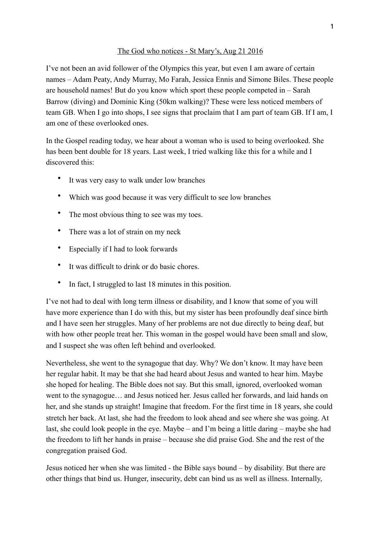## The God who notices - St Mary's, Aug 21 2016

I've not been an avid follower of the Olympics this year, but even I am aware of certain names – Adam Peaty, Andy Murray, Mo Farah, Jessica Ennis and Simone Biles. These people are household names! But do you know which sport these people competed in – Sarah Barrow (diving) and Dominic King (50km walking)? These were less noticed members of team GB. When I go into shops, I see signs that proclaim that I am part of team GB. If I am, I am one of these overlooked ones.

In the Gospel reading today, we hear about a woman who is used to being overlooked. She has been bent double for 18 years. Last week, I tried walking like this for a while and I discovered this:

- It was very easy to walk under low branches
- Which was good because it was very difficult to see low branches
- The most obvious thing to see was my toes.
- There was a lot of strain on my neck
- Especially if I had to look forwards
- It was difficult to drink or do basic chores.
- In fact, I struggled to last 18 minutes in this position.

I've not had to deal with long term illness or disability, and I know that some of you will have more experience than I do with this, but my sister has been profoundly deaf since birth and I have seen her struggles. Many of her problems are not due directly to being deaf, but with how other people treat her. This woman in the gospel would have been small and slow, and I suspect she was often left behind and overlooked.

Nevertheless, she went to the synagogue that day. Why? We don't know. It may have been her regular habit. It may be that she had heard about Jesus and wanted to hear him. Maybe she hoped for healing. The Bible does not say. But this small, ignored, overlooked woman went to the synagogue… and Jesus noticed her. Jesus called her forwards, and laid hands on her, and she stands up straight! Imagine that freedom. For the first time in 18 years, she could stretch her back. At last, she had the freedom to look ahead and see where she was going. At last, she could look people in the eye. Maybe – and I'm being a little daring – maybe she had the freedom to lift her hands in praise – because she did praise God. She and the rest of the congregation praised God.

Jesus noticed her when she was limited - the Bible says bound – by disability. But there are other things that bind us. Hunger, insecurity, debt can bind us as well as illness. Internally,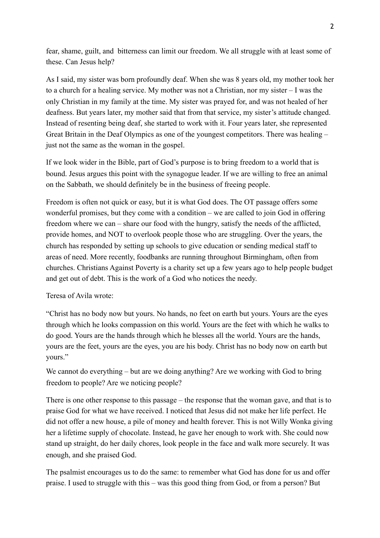fear, shame, guilt, and bitterness can limit our freedom. We all struggle with at least some of these. Can Jesus help?

As I said, my sister was born profoundly deaf. When she was 8 years old, my mother took her to a church for a healing service. My mother was not a Christian, nor my sister – I was the only Christian in my family at the time. My sister was prayed for, and was not healed of her deafness. But years later, my mother said that from that service, my sister's attitude changed. Instead of resenting being deaf, she started to work with it. Four years later, she represented Great Britain in the Deaf Olympics as one of the youngest competitors. There was healing – just not the same as the woman in the gospel.

If we look wider in the Bible, part of God's purpose is to bring freedom to a world that is bound. Jesus argues this point with the synagogue leader. If we are willing to free an animal on the Sabbath, we should definitely be in the business of freeing people.

Freedom is often not quick or easy, but it is what God does. The OT passage offers some wonderful promises, but they come with a condition – we are called to join God in offering freedom where we can – share our food with the hungry, satisfy the needs of the afflicted, provide homes, and NOT to overlook people those who are struggling. Over the years, the church has responded by setting up schools to give education or sending medical staff to areas of need. More recently, foodbanks are running throughout Birmingham, often from churches. Christians Against Poverty is a charity set up a few years ago to help people budget and get out of debt. This is the work of a God who notices the needy.

Teresa of Avila wrote:

"Christ has no body now but yours. No hands, no feet on earth but yours. Yours are the eyes through which he looks compassion on this world. Yours are the feet with which he walks to do good. Yours are the hands through which he blesses all the world. Yours are the hands, yours are the feet, yours are the eyes, you are his body. Christ has no body now on earth but yours."

We cannot do everything – but are we doing anything? Are we working with God to bring freedom to people? Are we noticing people?

There is one other response to this passage – the response that the woman gave, and that is to praise God for what we have received. I noticed that Jesus did not make her life perfect. He did not offer a new house, a pile of money and health forever. This is not Willy Wonka giving her a lifetime supply of chocolate. Instead, he gave her enough to work with. She could now stand up straight, do her daily chores, look people in the face and walk more securely. It was enough, and she praised God.

The psalmist encourages us to do the same: to remember what God has done for us and offer praise. I used to struggle with this – was this good thing from God, or from a person? But